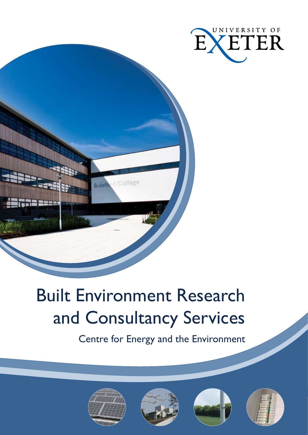



# Built Environment Research and Consultancy Services

Centre for Energy and the Environment







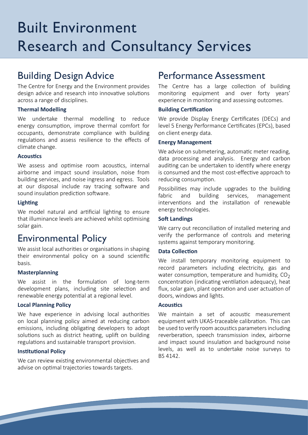## Built Environment Research and Consultancy Services

### Building Design Advice

The Centre for Energy and the Environment provides design advice and research into innovative solutions across a range of disciplines.

#### **Thermal Modelling**

We undertake thermal modelling to reduce energy consumption, improve thermal comfort for occupants, demonstrate compliance with building regulations and assess resilience to the effects of climate change.

#### **Acoustics**

We assess and optimise room acoustics, internal airborne and impact sound insulation, noise from building services, and noise ingress and egress. Tools at our disposal include ray tracing software and sound insulation prediction software.

#### **Lighting**

We model natural and artificial lighting to ensure that illuminance levels are achieved whilst optimising solar gain.

### Environmental Policy

We assist local authorities or organisations in shaping their environmental policy on a sound scientific basis.

#### **Masterplanning**

We assist in the formulation of long-term development plans, including site selection and renewable energy potential at a regional level.

#### **Local Planning Policy**

We have experience in advising local authorities on local planning policy aimed at reducing carbon emissions, including obligating developers to adopt solutions such as district heating, uplift on building regulations and sustainable transport provision.

#### **Institutional Policy**

We can review existing environmental objectives and advise on optimal trajectories towards targets.

### Performance Assessment

The Centre has a large collection of building monitoring equipment and over forty years' experience in monitoring and assessing outcomes.

#### **Building Certification**

We provide Display Energy Certificates (DECs) and level 5 Energy Performance Certificates (EPCs), based on client energy data.

#### **Energy Management**

We advise on submetering, automatic meter reading, data processing and analysis. Energy and carbon auditing can be undertaken to identify where energy is consumed and the most cost-effective approach to reducing consumption.

Possibilities may include upgrades to the building fabric and building services, management interventions and the installation of renewable energy technologies.

#### **Soft Landings**

We carry out reconciliation of installed metering and verify the performance of controls and metering systems against temporary monitoring.

#### **Data Collection**

We install temporary monitoring equipment to record parameters including electricity, gas and water consumption, temperature and humidity,  $CO<sub>2</sub>$ concentration (indicating ventilation adequacy), heat flux, solar gain, plant operation and user actuation of doors, windows and lights.

#### **Acoustics**

We maintain a set of acoustic measurement equipment with UKAS-traceable calibration. This can be used to verify room acoustics parameters including reverberation, speech transmission index, airborne and impact sound insulation and background noise levels, as well as to undertake noise surveys to BS 4142.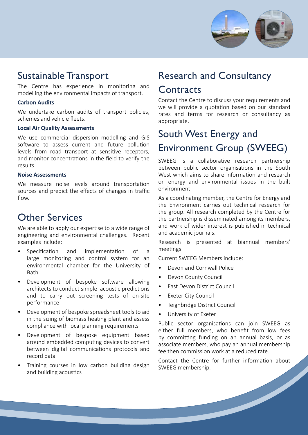

### Sustainable Transport

The Centre has experience in monitoring and modelling the environmental impacts of transport.

#### **Carbon Audits**

We undertake carbon audits of transport policies, schemes and vehicle fleets.

#### **Local Air Quality Assessments**

We use commercial dispersion modelling and GIS software to assess current and future pollution levels from road transport at sensitive receptors, and monitor concentrations in the field to verify the results.

#### **Noise Assessments**

We measure noise levels around transportation sources and predict the effects of changes in traffic flow.

### Other Services

We are able to apply our expertise to a wide range of engineering and environmental challenges. Recent examples include:

- Specification and implementation of a large monitoring and control system for an environmental chamber for the University of Bath •
- Development of bespoke software allowing architects to conduct simple acoustic predictions and to carry out screening tests of on-site performance •
- Development of bespoke spreadsheet tools to aid in the sizing of biomass heating plant and assess compliance with local planning requirements •
- Development of bespoke equipment based around embedded computing devices to convert between digital communications protocols and record data •
- Training courses in low carbon building design and building acoustics •

### Research and Consultancy **Contracts**

Contact the Centre to discuss your requirements and we will provide a quotation based on our standard rates and terms for research or consultancy as appropriate.

### South West Energy and Environment Group (SWEEG)

SWEEG is a collaborative research partnership between public sector organisations in the South West which aims to share information and research on energy and environmental issues in the built environment.

As a coordinating member, the Centre for Energy and the Environment carries out technical research for the group. All research completed by the Centre for the partnership is disseminated among its members, and work of wider interest is published in technical and academic journals.

Research is presented at biannual members' meetings.

Current SWEEG Members include:

- Devon and Cornwall Police •
- Devon County Council •
- East Devon District Council •
- Exeter City Council •
- Teignbridge District Council •
- University of Exeter •

Public sector organisations can join SWEEG as either full members, who benefit from low fees by committing funding on an annual basis, or as associate members, who pay an annual membership fee then commission work at a reduced rate.

Contact the Centre for further information about SWEEG membership.